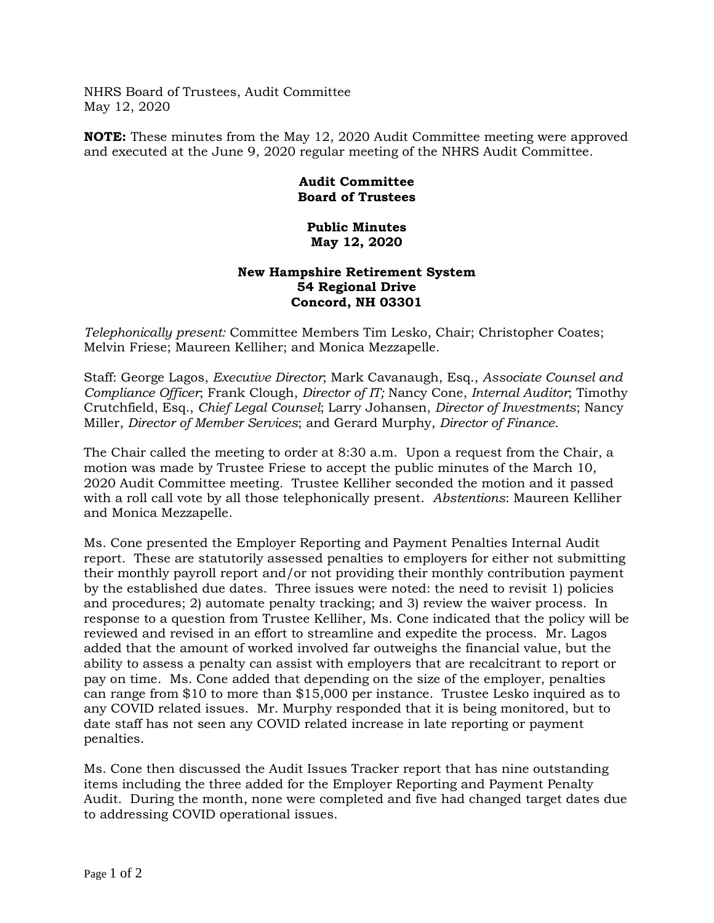NHRS Board of Trustees, Audit Committee May 12, 2020

**NOTE:** These minutes from the May 12, 2020 Audit Committee meeting were approved and executed at the June 9, 2020 regular meeting of the NHRS Audit Committee.

## **Audit Committee Board of Trustees**

## **Public Minutes May 12, 2020**

## **New Hampshire Retirement System 54 Regional Drive Concord, NH 03301**

*Telephonically present:* Committee Members Tim Lesko, Chair; Christopher Coates; Melvin Friese; Maureen Kelliher; and Monica Mezzapelle.

Staff: George Lagos, *Executive Director*; Mark Cavanaugh, Esq., *Associate Counsel and Compliance Officer*; Frank Clough, *Director of IT;* Nancy Cone, *Internal Auditor*; Timothy Crutchfield, Esq., *Chief Legal Counsel*; Larry Johansen, *Director of Investments*; Nancy Miller, *Director of Member Services*; and Gerard Murphy, *Director of Finance*.

The Chair called the meeting to order at 8:30 a.m. Upon a request from the Chair, a motion was made by Trustee Friese to accept the public minutes of the March 10, 2020 Audit Committee meeting. Trustee Kelliher seconded the motion and it passed with a roll call vote by all those telephonically present. *Abstentions*: Maureen Kelliher and Monica Mezzapelle.

Ms. Cone presented the Employer Reporting and Payment Penalties Internal Audit report. These are statutorily assessed penalties to employers for either not submitting their monthly payroll report and/or not providing their monthly contribution payment by the established due dates. Three issues were noted: the need to revisit 1) policies and procedures; 2) automate penalty tracking; and 3) review the waiver process. In response to a question from Trustee Kelliher, Ms. Cone indicated that the policy will be reviewed and revised in an effort to streamline and expedite the process. Mr. Lagos added that the amount of worked involved far outweighs the financial value, but the ability to assess a penalty can assist with employers that are recalcitrant to report or pay on time. Ms. Cone added that depending on the size of the employer, penalties can range from \$10 to more than \$15,000 per instance. Trustee Lesko inquired as to any COVID related issues. Mr. Murphy responded that it is being monitored, but to date staff has not seen any COVID related increase in late reporting or payment penalties.

Ms. Cone then discussed the Audit Issues Tracker report that has nine outstanding items including the three added for the Employer Reporting and Payment Penalty Audit. During the month, none were completed and five had changed target dates due to addressing COVID operational issues.